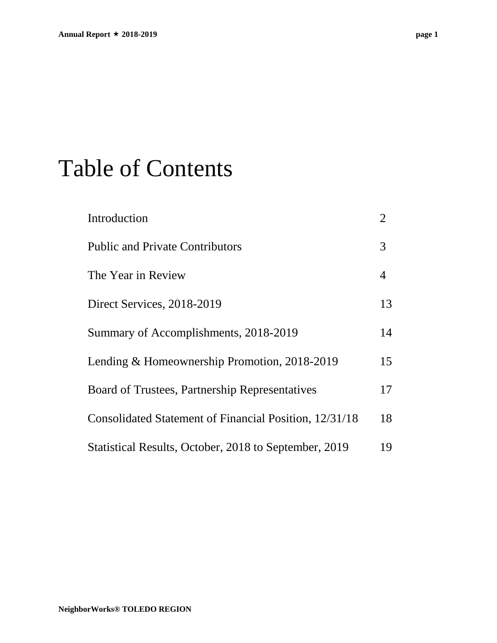# Table of Contents

| Introduction                                           | $\overline{2}$ |
|--------------------------------------------------------|----------------|
| <b>Public and Private Contributors</b>                 | 3              |
| The Year in Review                                     | $\overline{4}$ |
| Direct Services, 2018-2019                             | 13             |
| Summary of Accomplishments, 2018-2019                  | 14             |
| Lending & Homeownership Promotion, 2018-2019           | 15             |
| Board of Trustees, Partnership Representatives         | 17             |
| Consolidated Statement of Financial Position, 12/31/18 | 18             |
| Statistical Results, October, 2018 to September, 2019  | 19             |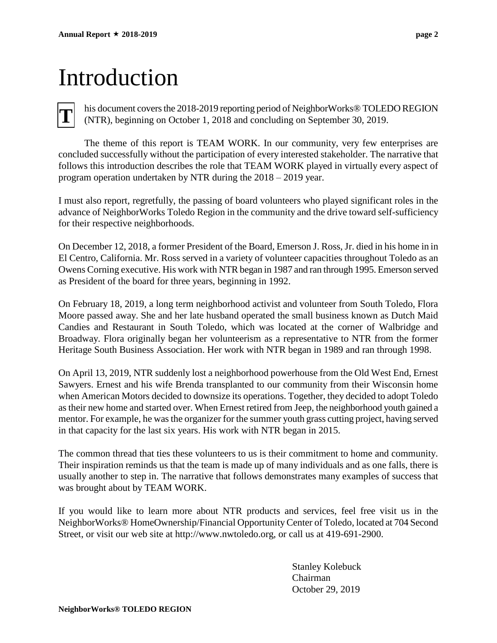# Introduction

**T**

his document covers the 2018-2019 reporting period of NeighborWorks® TOLEDO REGION (NTR), beginning on October 1, 2018 and concluding on September 30, 2019.

The theme of this report is TEAM WORK. In our community, very few enterprises are concluded successfully without the participation of every interested stakeholder. The narrative that follows this introduction describes the role that TEAM WORK played in virtually every aspect of program operation undertaken by NTR during the 2018 – 2019 year.

I must also report, regretfully, the passing of board volunteers who played significant roles in the advance of NeighborWorks Toledo Region in the community and the drive toward self-sufficiency for their respective neighborhoods.

On December 12, 2018, a former President of the Board, Emerson J. Ross, Jr. died in his home in in El Centro, California. Mr. Ross served in a variety of volunteer capacities throughout Toledo as an Owens Corning executive. His work with NTR began in 1987 and ran through 1995. Emerson served as President of the board for three years, beginning in 1992.

On February 18, 2019, a long term neighborhood activist and volunteer from South Toledo, Flora Moore passed away. She and her late husband operated the small business known as Dutch Maid Candies and Restaurant in South Toledo, which was located at the corner of Walbridge and Broadway. Flora originally began her volunteerism as a representative to NTR from the former Heritage South Business Association. Her work with NTR began in 1989 and ran through 1998.

On April 13, 2019, NTR suddenly lost a neighborhood powerhouse from the Old West End, Ernest Sawyers. Ernest and his wife Brenda transplanted to our community from their Wisconsin home when American Motors decided to downsize its operations. Together, they decided to adopt Toledo as their new home and started over. When Ernest retired from Jeep, the neighborhood youth gained a mentor. For example, he was the organizer for the summer youth grass cutting project, having served in that capacity for the last six years. His work with NTR began in 2015.

The common thread that ties these volunteers to us is their commitment to home and community. Their inspiration reminds us that the team is made up of many individuals and as one falls, there is usually another to step in. The narrative that follows demonstrates many examples of success that was brought about by TEAM WORK.

If you would like to learn more about NTR products and services, feel free visit us in the NeighborWorks® HomeOwnership/Financial Opportunity Center of Toledo, located at 704 Second Street, or visit our web site at http://www.nwtoledo.org, or call us at 419-691-2900.

> Stanley Kolebuck Chairman October 29, 2019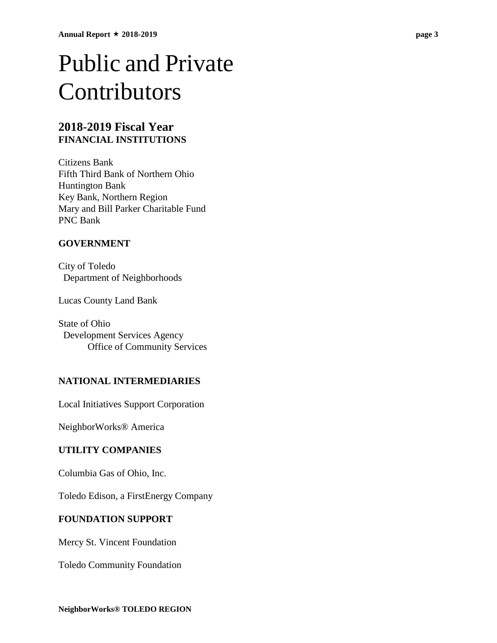# Public and Private Contributors

## **2018-2019 Fiscal Year FINANCIAL INSTITUTIONS**

Citizens Bank Fifth Third Bank of Northern Ohio Huntington Bank Key Bank, Northern Region Mary and Bill Parker Charitable Fund PNC Bank

## **GOVERNMENT**

City of Toledo Department of Neighborhoods

Lucas County Land Bank

State of Ohio Development Services Agency Office of Community Services

## **NATIONAL INTERMEDIARIES**

Local Initiatives Support Corporation

NeighborWorks® America

## **UTILITY COMPANIES**

Columbia Gas of Ohio, Inc.

Toledo Edison, a FirstEnergy Company

## **FOUNDATION SUPPORT**

Mercy St. Vincent Foundation

Toledo Community Foundation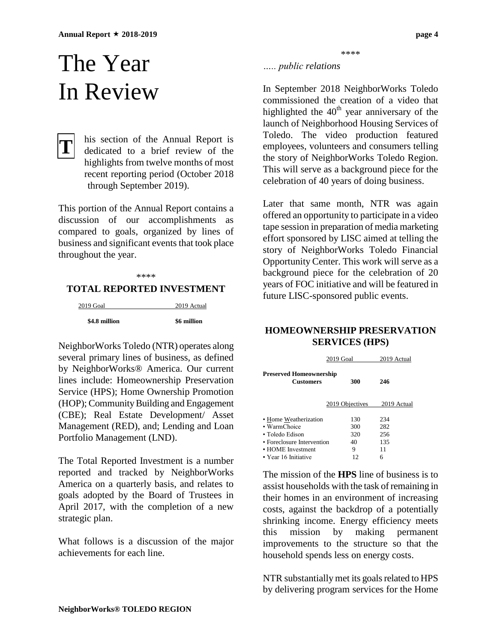# The Year In Review



his section of the Annual Report is dedicated to a brief review of the highlights from twelve months of most recent reporting period (October 2018 through September 2019).

This portion of the Annual Report contains a discussion of our accomplishments as compared to goals, organized by lines of business and significant events that took place throughout the year.

#### \*\*\*\*

## **TOTAL REPORTED INVESTMENT**

| 2019 Goal     | 2019 Actual |
|---------------|-------------|
| \$4.8 million | \$6 million |

NeighborWorks Toledo (NTR) operates along several primary lines of business, as defined by NeighborWorks® America. Our current lines include: Homeownership Preservation Service (HPS); Home Ownership Promotion (HOP); Community Building and Engagement (CBE); Real Estate Development/ Asset Management (RED), and; Lending and Loan Portfolio Management (LND).

The Total Reported Investment is a number reported and tracked by NeighborWorks America on a quarterly basis, and relates to goals adopted by the Board of Trustees in April 2017, with the completion of a new strategic plan.

What follows is a discussion of the major achievements for each line.

\*\*\*\*

## *….. public relations*

In September 2018 NeighborWorks Toledo commissioned the creation of a video that highlighted the  $40<sup>th</sup>$  year anniversary of the launch of Neighborhood Housing Services of Toledo. The video production featured employees, volunteers and consumers telling the story of NeighborWorks Toledo Region. This will serve as a background piece for the celebration of 40 years of doing business.

Later that same month, NTR was again offered an opportunity to participate in a video tape session in preparation of media marketing effort sponsored by LISC aimed at telling the story of NeighborWorks Toledo Financial Opportunity Center. This work will serve as a background piece for the celebration of 20 years of FOC initiative and will be featured in future LISC-sponsored public events.

## **HOMEOWNERSHIP PRESERVATION SERVICES (HPS)**

|                                             | 2019 Goal       | 2019 Actual |
|---------------------------------------------|-----------------|-------------|
| Preserved Homeownership<br><b>Customers</b> | 300             | 246         |
|                                             | 2019 Objectives | 2019 Actual |
| • Home Weatherization                       | 130             | 234         |
| • WarmChoice                                | 300             | 282         |
| • Toledo Edison                             | 320             | 256         |
| • Foreclosure Intervention                  | 40              | 135         |
| • HOME Investment                           | 9               | 11          |
| • Year 16 Initiative                        | 12              | 6           |

The mission of the **HPS** line of business is to assist households with the task of remaining in their homes in an environment of increasing costs, against the backdrop of a potentially shrinking income. Energy efficiency meets this mission by making permanent improvements to the structure so that the household spends less on energy costs.

NTR substantially met its goals related to HPS by delivering program services for the Home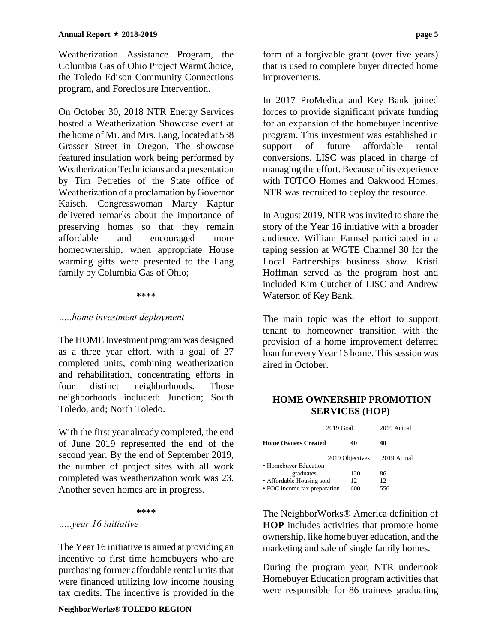Weatherization Assistance Program, the Columbia Gas of Ohio Project WarmChoice, the Toledo Edison Community Connections program, and Foreclosure Intervention.

On October 30, 2018 NTR Energy Services hosted a Weatherization Showcase event at the home of Mr. and Mrs. Lang, located at 538 Grasser Street in Oregon. The showcase featured insulation work being performed by Weatherization Technicians and a presentation by Tim Petreties of the State office of Weatherization of a proclamation by Governor Kaisch. Congresswoman Marcy Kaptur delivered remarks about the importance of preserving homes so that they remain affordable and encouraged more homeownership, when appropriate House warming gifts were presented to the Lang family by Columbia Gas of Ohio;

### **\*\*\*\***

## *…..home investment deployment*

The HOME Investment program was designed as a three year effort, with a goal of 27 completed units, combining weatherization and rehabilitation, concentrating efforts in four distinct neighborhoods. Those neighborhoods included: Junction; South Toledo, and; North Toledo.

With the first year already completed, the end of June 2019 represented the end of the second year. By the end of September 2019, the number of project sites with all work completed was weatherization work was 23. Another seven homes are in progress.

#### **\*\*\*\***

*…..year 16 initiative*

The Year 16 initiative is aimed at providing an incentive to first time homebuyers who are purchasing former affordable rental units that were financed utilizing low income housing tax credits. The incentive is provided in the

form of a forgivable grant (over five years) that is used to complete buyer directed home improvements.

In 2017 ProMedica and Key Bank joined forces to provide significant private funding for an expansion of the homebuyer incentive program. This investment was established in support of future affordable rental conversions. LISC was placed in charge of managing the effort. Because of its experience with TOTCO Homes and Oakwood Homes, NTR was recruited to deploy the resource.

In August 2019, NTR was invited to share the story of the Year 16 initiative with a broader audience. William Farnsel participated in a taping session at WGTE Channel 30 for the Local Partnerships business show. Kristi Hoffman served as the program host and included Kim Cutcher of LISC and Andrew Waterson of Key Bank.

The main topic was the effort to support tenant to homeowner transition with the provision of a home improvement deferred loan for every Year 16 home. This session was aired in October.

## **HOME OWNERSHIP PROMOTION SERVICES (HOP)**

|                              | 2019 Goal       | 2019 Actual |
|------------------------------|-----------------|-------------|
| <b>Home Owners Created</b>   | 40              | 40          |
|                              | 2019 Objectives | 2019 Actual |
| • Homebuyer Education        |                 |             |
| graduates                    | 120             | 86          |
| • Affordable Housing sold    | 12              | 12          |
| • FOC income tax preparation | 600             | 556         |

The NeighborWorks® America definition of **HOP** includes activities that promote home ownership, like home buyer education, and the marketing and sale of single family homes.

During the program year, NTR undertook Homebuyer Education program activities that were responsible for 86 trainees graduating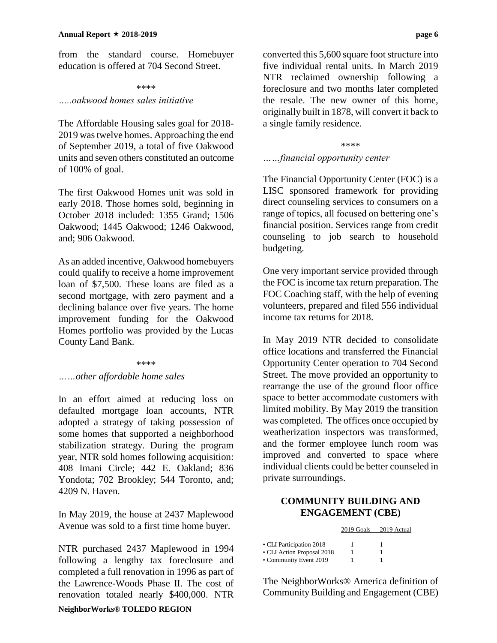from the standard course. Homebuyer education is offered at 704 Second Street.

#### \*\*\*\*

## *…..oakwood homes sales initiative*

The Affordable Housing sales goal for 2018- 2019 was twelve homes. Approaching the end of September 2019, a total of five Oakwood units and seven others constituted an outcome of 100% of goal.

The first Oakwood Homes unit was sold in early 2018. Those homes sold, beginning in October 2018 included: 1355 Grand; 1506 Oakwood; 1445 Oakwood; 1246 Oakwood, and; 906 Oakwood.

As an added incentive, Oakwood homebuyers could qualify to receive a home improvement loan of \$7,500. These loans are filed as a second mortgage, with zero payment and a declining balance over five years. The home improvement funding for the Oakwood Homes portfolio was provided by the Lucas County Land Bank.

## \*\*\*\*

## *……other affordable home sales*

In an effort aimed at reducing loss on defaulted mortgage loan accounts, NTR adopted a strategy of taking possession of some homes that supported a neighborhood stabilization strategy. During the program year, NTR sold homes following acquisition: 408 Imani Circle; 442 E. Oakland; 836 Yondota; 702 Brookley; 544 Toronto, and; 4209 N. Haven.

In May 2019, the house at 2437 Maplewood Avenue was sold to a first time home buyer.

NTR purchased 2437 Maplewood in 1994 following a lengthy tax foreclosure and completed a full renovation in 1996 as part of the Lawrence-Woods Phase II. The cost of renovation totaled nearly \$400,000. NTR

**NeighborWorks® TOLEDO REGION**

converted this 5,600 square foot structure into five individual rental units. In March 2019 NTR reclaimed ownership following a foreclosure and two months later completed the resale. The new owner of this home, originally built in 1878, will convert it back to a single family residence.

## \*\*\*\*

## *……financial opportunity center*

The Financial Opportunity Center (FOC) is a LISC sponsored framework for providing direct counseling services to consumers on a range of topics, all focused on bettering one's financial position. Services range from credit counseling to job search to household budgeting.

One very important service provided through the FOC is income tax return preparation. The FOC Coaching staff, with the help of evening volunteers, prepared and filed 556 individual income tax returns for 2018.

In May 2019 NTR decided to consolidate office locations and transferred the Financial Opportunity Center operation to 704 Second Street. The move provided an opportunity to rearrange the use of the ground floor office space to better accommodate customers with limited mobility. By May 2019 the transition was completed. The offices once occupied by weatherization inspectors was transformed, and the former employee lunch room was improved and converted to space where individual clients could be better counseled in private surroundings.

## **COMMUNITY BUILDING AND ENGAGEMENT (CBE)**

2019 Goals 2019 Actual

| • CLI Participation 2018   |  |
|----------------------------|--|
| • CLI Action Proposal 2018 |  |
| • Community Event 2019     |  |

The NeighborWorks® America definition of Community Building and Engagement (CBE)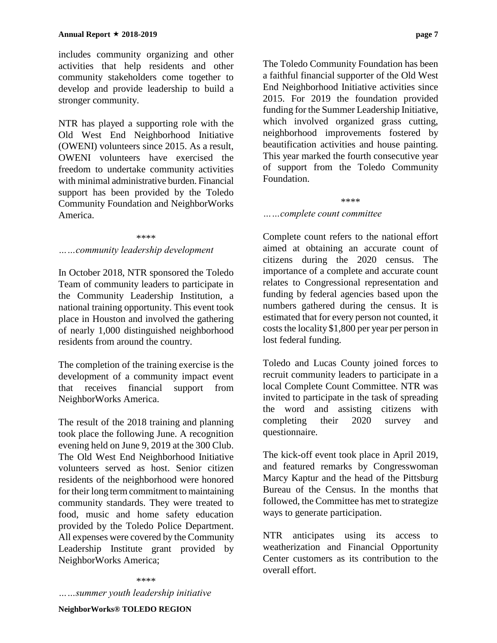includes community organizing and other activities that help residents and other community stakeholders come together to develop and provide leadership to build a stronger community.

NTR has played a supporting role with the Old West End Neighborhood Initiative (OWENI) volunteers since 2015. As a result, OWENI volunteers have exercised the freedom to undertake community activities with minimal administrative burden. Financial support has been provided by the Toledo Community Foundation and NeighborWorks America.

#### \*\*\*\*

## *……community leadership development*

In October 2018, NTR sponsored the Toledo Team of community leaders to participate in the Community Leadership Institution, a national training opportunity. This event took place in Houston and involved the gathering of nearly 1,000 distinguished neighborhood residents from around the country.

The completion of the training exercise is the development of a community impact event that receives financial support from NeighborWorks America.

The result of the 2018 training and planning took place the following June. A recognition evening held on June 9, 2019 at the 300 Club. The Old West End Neighborhood Initiative volunteers served as host. Senior citizen residents of the neighborhood were honored for their long term commitment to maintaining community standards. They were treated to food, music and home safety education provided by the Toledo Police Department. All expenses were covered by the Community Leadership Institute grant provided by NeighborWorks America;

\*\*\*\* *……summer youth leadership initiative* The Toledo Community Foundation has been a faithful financial supporter of the Old West End Neighborhood Initiative activities since 2015. For 2019 the foundation provided funding for the Summer Leadership Initiative, which involved organized grass cutting, neighborhood improvements fostered by beautification activities and house painting. This year marked the fourth consecutive year of support from the Toledo Community Foundation.

#### \*\*\*\*

### *……complete count committee*

Complete count refers to the national effort aimed at obtaining an accurate count of citizens during the 2020 census. The importance of a complete and accurate count relates to Congressional representation and funding by federal agencies based upon the numbers gathered during the census. It is estimated that for every person not counted, it costs the locality \$1,800 per year per person in lost federal funding.

Toledo and Lucas County joined forces to recruit community leaders to participate in a local Complete Count Committee. NTR was invited to participate in the task of spreading the word and assisting citizens with completing their 2020 survey and questionnaire.

The kick-off event took place in April 2019, and featured remarks by Congresswoman Marcy Kaptur and the head of the Pittsburg Bureau of the Census. In the months that followed, the Committee has met to strategize ways to generate participation.

NTR anticipates using its access to weatherization and Financial Opportunity Center customers as its contribution to the overall effort.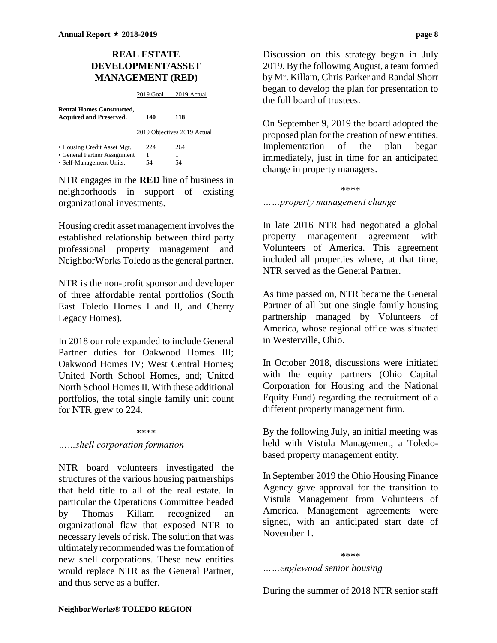## **REAL ESTATE DEVELOPMENT/ASSET MANAGEMENT (RED)**

| 2019 Goal | 2019 Actual |
|-----------|-------------|
|           |             |

| <b>Rental Homes Constructed,</b> |     |     |  |
|----------------------------------|-----|-----|--|
| <b>Acquired and Preserved.</b>   | 140 | 118 |  |
|                                  |     |     |  |

2019 Objectives 2019 Actual

| • Housing Credit Asset Mgt.  | 224 | 264 |
|------------------------------|-----|-----|
| • General Partner Assignment |     |     |
| • Self-Management Units.     | 54  | 54  |

NTR engages in the **RED** line of business in neighborhoods in support of existing organizational investments.

Housing credit asset management involves the established relationship between third party professional property management and NeighborWorks Toledo as the general partner.

NTR is the non-profit sponsor and developer of three affordable rental portfolios (South East Toledo Homes I and II, and Cherry Legacy Homes).

In 2018 our role expanded to include General Partner duties for Oakwood Homes III; Oakwood Homes IV; West Central Homes; United North School Homes, and; United North School Homes II. With these additional portfolios, the total single family unit count for NTR grew to 224.

#### \*\*\*\*

*……shell corporation formation*

NTR board volunteers investigated the structures of the various housing partnerships that held title to all of the real estate. In particular the Operations Committee headed by Thomas Killam recognized an organizational flaw that exposed NTR to necessary levels of risk. The solution that was ultimately recommended was the formation of new shell corporations. These new entities would replace NTR as the General Partner, and thus serve as a buffer.

Discussion on this strategy began in July 2019. By the following August, a team formed by Mr. Killam, Chris Parker and Randal Shorr began to develop the plan for presentation to the full board of trustees.

On September 9, 2019 the board adopted the proposed plan for the creation of new entities. Implementation of the plan began immediately, just in time for an anticipated change in property managers.

#### \*\*\*\*

*……property management change*

In late 2016 NTR had negotiated a global property management agreement with Volunteers of America. This agreement included all properties where, at that time, NTR served as the General Partner.

As time passed on, NTR became the General Partner of all but one single family housing partnership managed by Volunteers of America, whose regional office was situated in Westerville, Ohio.

In October 2018, discussions were initiated with the equity partners (Ohio Capital Corporation for Housing and the National Equity Fund) regarding the recruitment of a different property management firm.

By the following July, an initial meeting was held with Vistula Management, a Toledobased property management entity.

In September 2019 the Ohio Housing Finance Agency gave approval for the transition to Vistula Management from Volunteers of America. Management agreements were signed, with an anticipated start date of November 1.

#### \*\*\*\*

*……englewood senior housing*

During the summer of 2018 NTR senior staff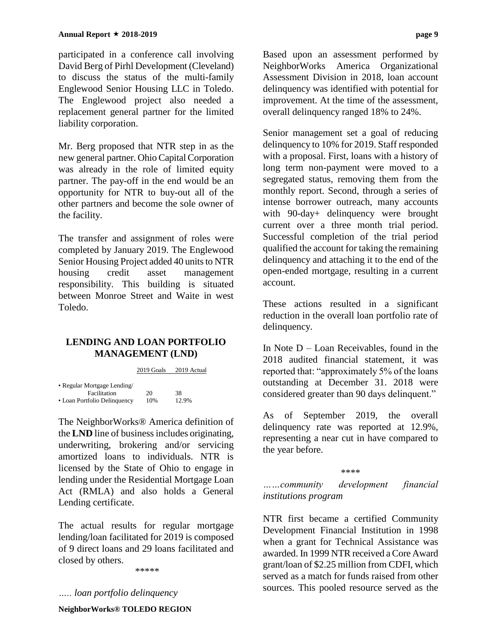participated in a conference call involving David Berg of Pirhl Development (Cleveland) to discuss the status of the multi-family Englewood Senior Housing LLC in Toledo. The Englewood project also needed a replacement general partner for the limited liability corporation.

Mr. Berg proposed that NTR step in as the new general partner. Ohio Capital Corporation was already in the role of limited equity partner. The pay-off in the end would be an opportunity for NTR to buy-out all of the other partners and become the sole owner of the facility.

The transfer and assignment of roles were completed by January 2019. The Englewood Senior Housing Project added 40 units to NTR housing credit asset management responsibility. This building is situated between Monroe Street and Waite in west Toledo.

## **LENDING AND LOAN PORTFOLIO MANAGEMENT (LND)**

2019 Goals 2019 Actual

| • Regular Mortgage Lending/  |     |       |
|------------------------------|-----|-------|
| Facilitation                 | 20  | 38    |
| • Loan Portfolio Delinquency | 10% | 12.9% |

The NeighborWorks® America definition of the **LND** line of business includes originating, underwriting, brokering and/or servicing amortized loans to individuals. NTR is licensed by the State of Ohio to engage in lending under the Residential Mortgage Loan Act (RMLA) and also holds a General Lending certificate.

The actual results for regular mortgage lending/loan facilitated for 2019 is composed of 9 direct loans and 29 loans facilitated and closed by others.

\*\*\*\*\*

*….. loan portfolio delinquency*

overall delinquency ranged 18% to 24%.

Senior management set a goal of reducing delinquency to 10% for 2019. Staff responded with a proposal. First, loans with a history of long term non-payment were moved to a segregated status, removing them from the monthly report. Second, through a series of intense borrower outreach, many accounts with 90-day+ delinquency were brought current over a three month trial period. Successful completion of the trial period qualified the account for taking the remaining delinquency and attaching it to the end of the open-ended mortgage, resulting in a current account.

These actions resulted in a significant reduction in the overall loan portfolio rate of delinquency.

In Note  $D -$ Loan Receivables, found in the 2018 audited financial statement, it was reported that: "approximately 5% of the loans outstanding at December 31. 2018 were considered greater than 90 days delinquent."

As of September 2019, the overall delinquency rate was reported at 12.9%, representing a near cut in have compared to the year before.

\*\*\*\*

*……community development financial institutions program*

NTR first became a certified Community Development Financial Institution in 1998 when a grant for Technical Assistance was awarded. In 1999 NTR received a Core Award grant/loan of \$2.25 million from CDFI, which served as a match for funds raised from other sources. This pooled resource served as the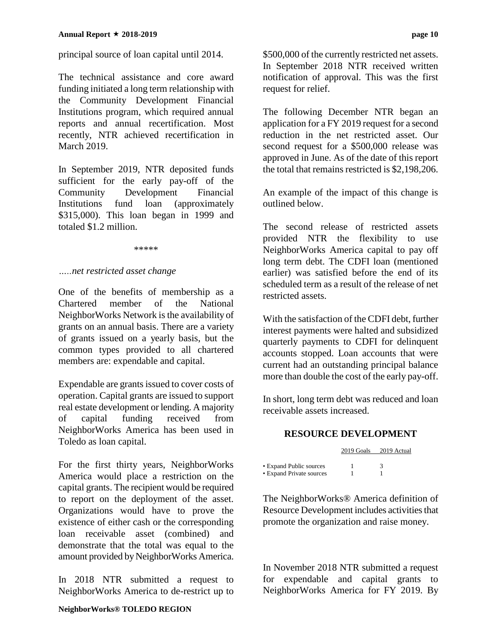principal source of loan capital until 2014.

The technical assistance and core award funding initiated a long term relationship with the Community Development Financial Institutions program, which required annual reports and annual recertification. Most recently, NTR achieved recertification in March 2019.

In September 2019, NTR deposited funds sufficient for the early pay-off of the Community Development Financial Institutions fund loan (approximately \$315,000). This loan began in 1999 and totaled \$1.2 million.

\*\*\*\*\*

## *…..net restricted asset change*

One of the benefits of membership as a Chartered member of the National NeighborWorks Network is the availability of grants on an annual basis. There are a variety of grants issued on a yearly basis, but the common types provided to all chartered members are: expendable and capital.

Expendable are grants issued to cover costs of operation. Capital grants are issued to support real estate development or lending. A majority of capital funding received from NeighborWorks America has been used in Toledo as loan capital.

For the first thirty years, NeighborWorks America would place a restriction on the capital grants. The recipient would be required to report on the deployment of the asset. Organizations would have to prove the existence of either cash or the corresponding loan receivable asset (combined) and demonstrate that the total was equal to the amount provided by NeighborWorks America.

In 2018 NTR submitted a request to NeighborWorks America to de-restrict up to

\$500,000 of the currently restricted net assets. In September 2018 NTR received written notification of approval. This was the first request for relief.

The following December NTR began an application for a FY 2019 request for a second reduction in the net restricted asset. Our second request for a \$500,000 release was approved in June. As of the date of this report the total that remains restricted is \$2,198,206.

An example of the impact of this change is outlined below.

The second release of restricted assets provided NTR the flexibility to use NeighborWorks America capital to pay off long term debt. The CDFI loan (mentioned earlier) was satisfied before the end of its scheduled term as a result of the release of net restricted assets.

With the satisfaction of the CDFI debt, further interest payments were halted and subsidized quarterly payments to CDFI for delinquent accounts stopped. Loan accounts that were current had an outstanding principal balance more than double the cost of the early pay-off.

In short, long term debt was reduced and loan receivable assets increased.

## **RESOURCE DEVELOPMENT**

|                          | 2019 Goals 2019 Actual |
|--------------------------|------------------------|
| • Expand Public sources  |                        |
| • Expand Private sources |                        |

The NeighborWorks® America definition of Resource Development includes activities that promote the organization and raise money.

In November 2018 NTR submitted a request for expendable and capital grants to NeighborWorks America for FY 2019. By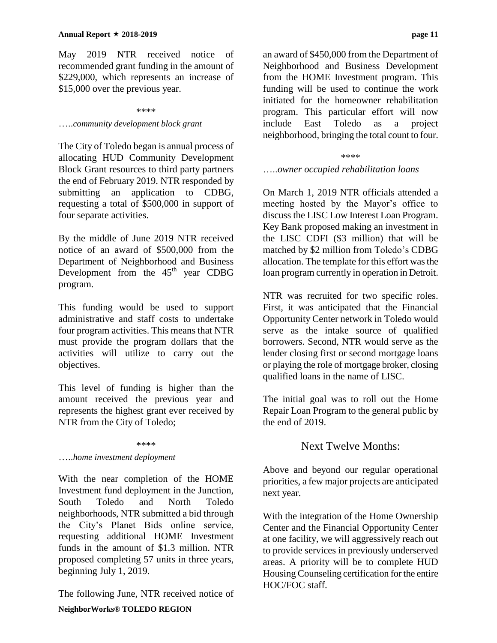May 2019 NTR received notice of recommended grant funding in the amount of \$229,000, which represents an increase of \$15,000 over the previous year.

### \*\*\*\*

## …..*community development block grant*

The City of Toledo began is annual process of allocating HUD Community Development Block Grant resources to third party partners the end of February 2019. NTR responded by submitting an application to CDBG, requesting a total of \$500,000 in support of four separate activities.

By the middle of June 2019 NTR received notice of an award of \$500,000 from the Department of Neighborhood and Business Development from the  $45<sup>th</sup>$  year CDBG program.

This funding would be used to support administrative and staff costs to undertake four program activities. This means that NTR must provide the program dollars that the activities will utilize to carry out the objectives.

This level of funding is higher than the amount received the previous year and represents the highest grant ever received by NTR from the City of Toledo;

#### \*\*\*\*

## …..*home investment deployment*

With the near completion of the HOME Investment fund deployment in the Junction, South Toledo and North Toledo neighborhoods, NTR submitted a bid through the City's Planet Bids online service, requesting additional HOME Investment funds in the amount of \$1.3 million. NTR proposed completing 57 units in three years, beginning July 1, 2019.

**NeighborWorks® TOLEDO REGION** The following June, NTR received notice of

an award of \$450,000 from the Department of Neighborhood and Business Development from the HOME Investment program. This funding will be used to continue the work initiated for the homeowner rehabilitation program. This particular effort will now include East Toledo as a project neighborhood, bringing the total count to four.

## …..*owner occupied rehabilitation loans*

\*\*\*\*

On March 1, 2019 NTR officials attended a meeting hosted by the Mayor's office to discuss the LISC Low Interest Loan Program. Key Bank proposed making an investment in the LISC CDFI (\$3 million) that will be matched by \$2 million from Toledo's CDBG allocation. The template for this effort wasthe loan program currently in operation in Detroit.

NTR was recruited for two specific roles. First, it was anticipated that the Financial Opportunity Center network in Toledo would serve as the intake source of qualified borrowers. Second, NTR would serve as the lender closing first or second mortgage loans or playing the role of mortgage broker, closing qualified loans in the name of LISC.

The initial goal was to roll out the Home Repair Loan Program to the general public by the end of 2019.

## Next Twelve Months:

Above and beyond our regular operational priorities, a few major projects are anticipated next year.

With the integration of the Home Ownership Center and the Financial Opportunity Center at one facility, we will aggressively reach out to provide services in previously underserved areas. A priority will be to complete HUD Housing Counseling certification for the entire HOC/FOC staff.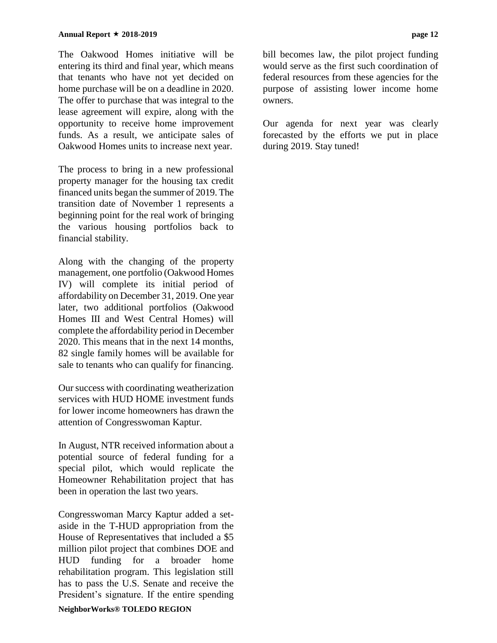The Oakwood Homes initiative will be entering its third and final year, which means that tenants who have not yet decided on home purchase will be on a deadline in 2020. The offer to purchase that was integral to the lease agreement will expire, along with the opportunity to receive home improvement funds. As a result, we anticipate sales of Oakwood Homes units to increase next year.

The process to bring in a new professional property manager for the housing tax credit financed units began the summer of 2019. The transition date of November 1 represents a beginning point for the real work of bringing the various housing portfolios back to financial stability.

Along with the changing of the property management, one portfolio (Oakwood Homes IV) will complete its initial period of affordability on December 31, 2019. One year later, two additional portfolios (Oakwood Homes III and West Central Homes) will complete the affordability period in December 2020. This means that in the next 14 months, 82 single family homes will be available for sale to tenants who can qualify for financing.

Our success with coordinating weatherization services with HUD HOME investment funds for lower income homeowners has drawn the attention of Congresswoman Kaptur.

In August, NTR received information about a potential source of federal funding for a special pilot, which would replicate the Homeowner Rehabilitation project that has been in operation the last two years.

Congresswoman Marcy Kaptur added a setaside in the T-HUD appropriation from the House of Representatives that included a \$5 million pilot project that combines DOE and HUD funding for a broader home rehabilitation program. This legislation still has to pass the U.S. Senate and receive the President's signature. If the entire spending

**NeighborWorks® TOLEDO REGION**

bill becomes law, the pilot project funding would serve as the first such coordination of federal resources from these agencies for the purpose of assisting lower income home owners.

Our agenda for next year was clearly forecasted by the efforts we put in place during 2019. Stay tuned!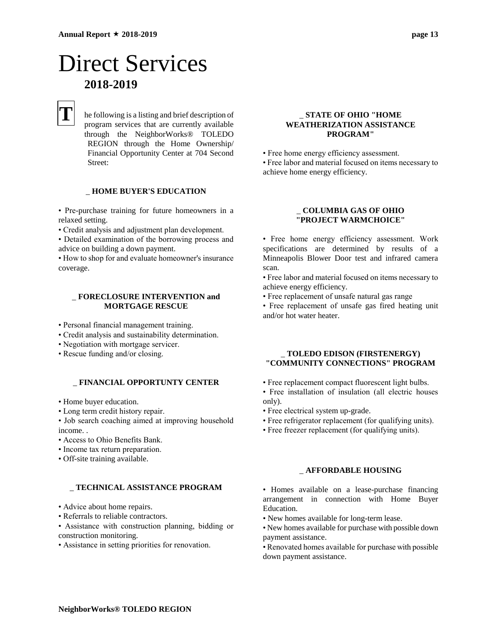# Direct Services **2018-2019**

# **T**

he following is a listing and brief description of program services that are currently available through the NeighborWorks® TOLEDO REGION through the Home Ownership/ Financial Opportunity Center at 704 Second Street:

## \_ **HOME BUYER'S EDUCATION**

• Pre-purchase training for future homeowners in a relaxed setting.

• Credit analysis and adjustment plan development.

• Detailed examination of the borrowing process and advice on building a down payment.

• How to shop for and evaluate homeowner's insurance coverage.

### \_ **FORECLOSURE INTERVENTION and MORTGAGE RESCUE**

- Personal financial management training.
- Credit analysis and sustainability determination.
- Negotiation with mortgage servicer.
- Rescue funding and/or closing.

## \_ **FINANCIAL OPPORTUNTY CENTER**

- Home buyer education.
- Long term credit history repair.

• Job search coaching aimed at improving household income. .

- Access to Ohio Benefits Bank.
- Income tax return preparation.
- Off-site training available.

## \_ **TECHNICAL ASSISTANCE PROGRAM**

- Advice about home repairs.
- Referrals to reliable contractors.

• Assistance with construction planning, bidding or construction monitoring.

• Assistance in setting priorities for renovation.

## \_ **STATE OF OHIO "HOME WEATHERIZATION ASSISTANCE PROGRAM"**

• Free home energy efficiency assessment.

• Free labor and material focused on items necessary to achieve home energy efficiency.

### \_ **COLUMBIA GAS OF OHIO "PROJECT WARMCHOICE"**

• Free home energy efficiency assessment. Work specifications are determined by results of a Minneapolis Blower Door test and infrared camera scan.

• Free labor and material focused on items necessary to achieve energy efficiency.

• Free replacement of unsafe natural gas range

• Free replacement of unsafe gas fired heating unit and/or hot water heater.

### \_ **TOLEDO EDISON (FIRSTENERGY) "COMMUNITY CONNECTIONS" PROGRAM**

- Free replacement compact fluorescent light bulbs.
- Free installation of insulation (all electric houses only).
- Free electrical system up-grade.
- Free refrigerator replacement (for qualifying units).
- Free freezer replacement (for qualifying units).

### \_ **AFFORDABLE HOUSING**

• Homes available on a lease-purchase financing arrangement in connection with Home Buyer Education.

- New homes available for long-term lease.
- New homes available for purchase with possible down payment assistance.
- Renovated homes available for purchase with possible down payment assistance.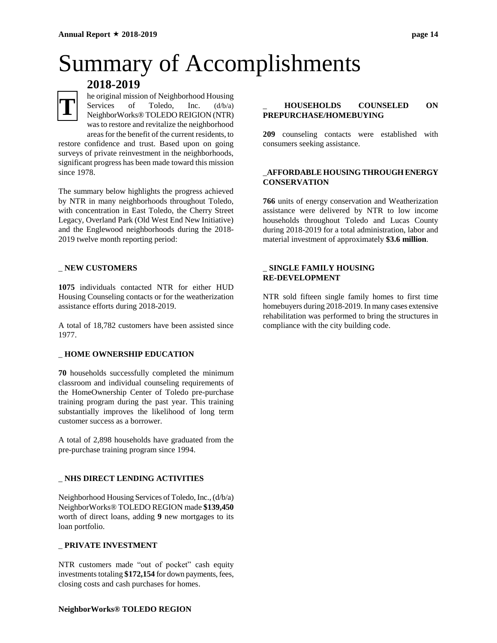# Summary of Accomplishments **2018-2019**



he original mission of Neighborhood Housing Services of Toledo, Inc. (d/b/a) NeighborWorks® TOLEDO REIGION (NTR) was to restore and revitalize the neighborhood

areas for the benefit of the current residents, to restore confidence and trust. Based upon on going surveys of private reinvestment in the neighborhoods, significant progress has been made toward this mission since 1978.

The summary below highlights the progress achieved by NTR in many neighborhoods throughout Toledo, with concentration in East Toledo, the Cherry Street Legacy, Overland Park (Old West End New Initiative) and the Englewood neighborhoods during the 2018- 2019 twelve month reporting period:

## \_ **NEW CUSTOMERS**

**1075** individuals contacted NTR for either HUD Housing Counseling contacts or for the weatherization assistance efforts during 2018-2019.

A total of 18,782 customers have been assisted since 1977.

## \_ **HOME OWNERSHIP EDUCATION**

**70** households successfully completed the minimum classroom and individual counseling requirements of the HomeOwnership Center of Toledo pre-purchase training program during the past year. This training substantially improves the likelihood of long term customer success as a borrower.

A total of 2,898 households have graduated from the pre-purchase training program since 1994.

## \_ **NHS DIRECT LENDING ACTIVITIES**

Neighborhood Housing Services of Toledo, Inc., (d/b/a) NeighborWorks® TOLEDO REGION made **\$139,450** worth of direct loans, adding **9** new mortgages to its loan portfolio.

#### \_ **PRIVATE INVESTMENT**

NTR customers made "out of pocket" cash equity investments totaling **\$172,154** for down payments, fees, closing costs and cash purchases for homes.

## \_ **HOUSEHOLDS COUNSELED ON PREPURCHASE/HOMEBUYING**

**209** counseling contacts were established with consumers seeking assistance.

### \_**AFFORDABLE HOUSING THROUGH ENERGY CONSERVATION**

**766** units of energy conservation and Weatherization assistance were delivered by NTR to low income households throughout Toledo and Lucas County during 2018-2019 for a total administration, labor and material investment of approximately **\$3.6 million**.

#### \_ **SINGLE FAMILY HOUSING RE-DEVELOPMENT**

NTR sold fifteen single family homes to first time homebuyers during 2018-2019. In many cases extensive rehabilitation was performed to bring the structures in compliance with the city building code.

#### **NeighborWorks® TOLEDO REGION**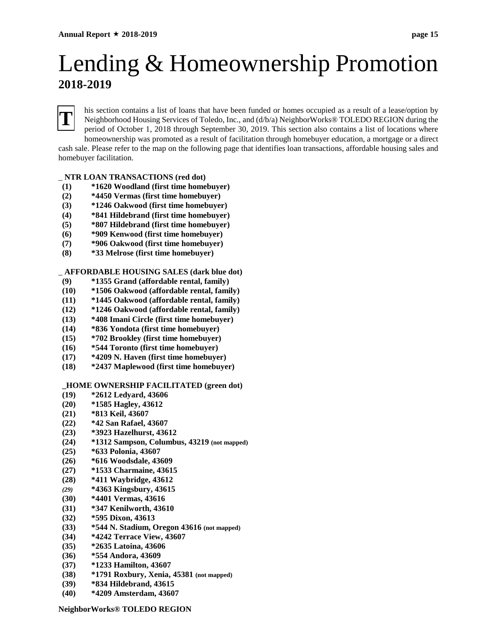# Lending & Homeownership Promotion **2018-2019**



his section contains a list of loans that have been funded or homes occupied as a result of a lease/option by Neighborhood Housing Services of Toledo, Inc., and (d/b/a) NeighborWorks® TOLEDO REGION during the period of October 1, 2018 through September 30, 2019. This section also contains a list of locations where homeownership was promoted as a result of facilitation through homebuyer education, a mortgage or a direct

cash sale. Please refer to the map on the following page that identifies loan transactions, affordable housing sales and homebuyer facilitation.

## \_ **NTR LOAN TRANSACTIONS (red dot)**

- **(1) \*1620 Woodland (first time homebuyer)**
- **(2) \*4450 Vermas (first time homebuyer)**
- **(3) \*1246 Oakwood (first time homebuyer)**
- **(4) \*841 Hildebrand (first time homebuyer)**
- **(5) \*807 Hildebrand (first time homebuyer)**
- **(6) \*909 Kenwood (first time homebuyer)**
- **(7) \*906 Oakwood (first time homebuyer)**
- **(8) \*33 Melrose (first time homebuyer)**

\_ **AFFORDABLE HOUSING SALES (dark blue dot)**

- **(9) \*1355 Grand (affordable rental, family)**
- **(10) \*1506 Oakwood (affordable rental, family)**
- **(11) \*1445 Oakwood (affordable rental, family)**
- **(12) \*1246 Oakwood (affordable rental, family)**
- **(13) \*408 Imani Circle (first time homebuyer)**
- **(14) \*836 Yondota (first time homebuyer)**
- **(15) \*702 Brookley (first time homebuyer)**
- **(16) \*544 Toronto (first time homebuyer)**
- **(17) \*4209 N. Haven (first time homebuyer)**
- **(18) \*2437 Maplewood (first time homebuyer)**

## **\_HOME OWNERSHIP FACILITATED (green dot)**

- **(19) \*2612 Ledyard, 43606**
- **(20) \*1585 Hagley, 43612**
- **(21) \*813 Keil, 43607**
- **(22) \*42 San Rafael, 43607**
- **(23) \*3923 Hazelhurst, 43612**
- **(24) \*1312 Sampson, Columbus, 43219 (not mapped)**
- **(25) \*633 Polonia, 43607**
- **(26) \*616 Woodsdale, 43609**
- **(27) \*1533 Charmaine, 43615**
- **(28) \*411 Waybridge, 43612**
- *(29)* **\*4363 Kingsbury, 43615**
- **(30) \*4401 Vermas, 43616**
- **(31) \*347 Kenilworth, 43610**
- **(32) \*595 Dixon, 43613**
- **(33) \*544 N. Stadium, Oregon 43616 (not mapped)**
- **(34) \*4242 Terrace View, 43607**
- **(35) \*2635 Latoina, 43606**
- **(36) \*554 Andora, 43609**
- **(37) \*1233 Hamilton, 43607**
- **(38) \*1791 Roxbury, Xenia, 45381 (not mapped)**
- **(39) \*834 Hildebrand, 43615**
- **(40) \*4209 Amsterdam, 43607**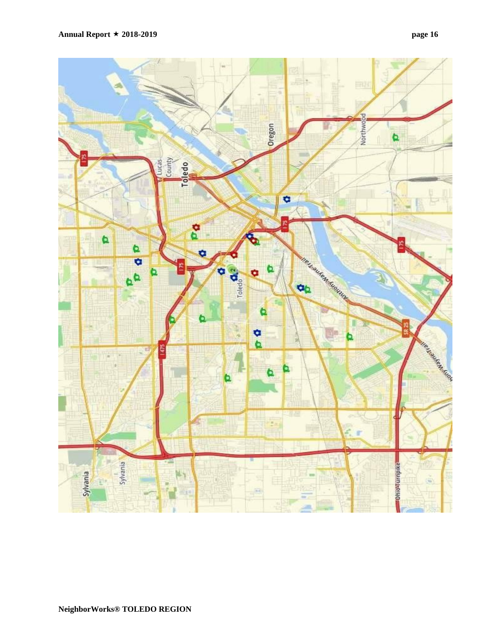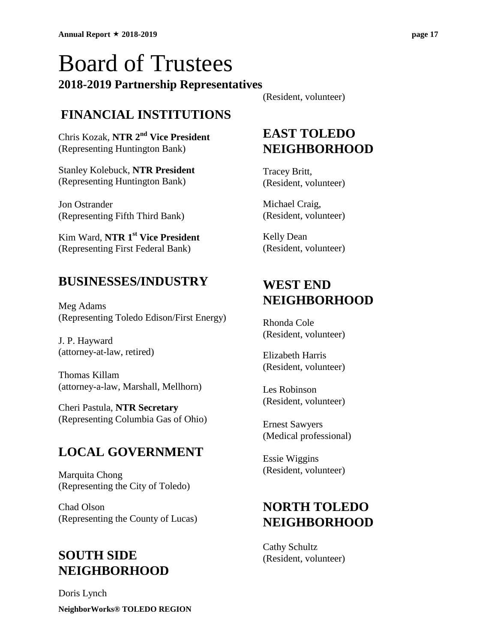# Board of Trustees **2018-2019 Partnership Representatives**

**FINANCIAL INSTITUTIONS**

Chris Kozak, **NTR 2 nd Vice President** (Representing Huntington Bank)

Stanley Kolebuck, **NTR President** (Representing Huntington Bank)

Jon Ostrander (Representing Fifth Third Bank)

Kim Ward, **NTR 1st Vice President** (Representing First Federal Bank)

## **BUSINESSES/INDUSTRY**

Meg Adams (Representing Toledo Edison/First Energy)

J. P. Hayward (attorney-at-law, retired)

Thomas Killam (attorney-a-law, Marshall, Mellhorn)

Cheri Pastula, **NTR Secretary** (Representing Columbia Gas of Ohio)

# **LOCAL GOVERNMENT**

Marquita Chong (Representing the City of Toledo)

Chad Olson (Representing the County of Lucas)

## **SOUTH SIDE NEIGHBORHOOD**

**NeighborWorks® TOLEDO REGION** Doris Lynch

(Resident, volunteer)

## **EAST TOLEDO NEIGHBORHOOD**

Tracey Britt, (Resident, volunteer)

Michael Craig, (Resident, volunteer)

Kelly Dean (Resident, volunteer)

# **WEST END NEIGHBORHOOD**

Rhonda Cole (Resident, volunteer)

Elizabeth Harris (Resident, volunteer)

Les Robinson (Resident, volunteer)

Ernest Sawyers (Medical professional)

Essie Wiggins (Resident, volunteer)

## **NORTH TOLEDO NEIGHBORHOOD**

Cathy Schultz (Resident, volunteer)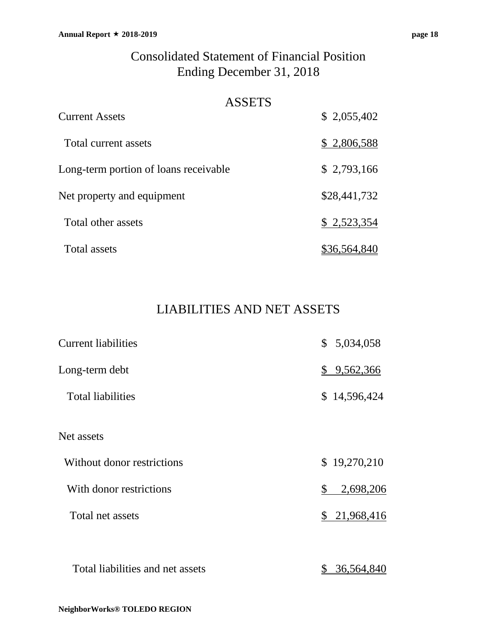## **ASSETS**

| <b>Current Assets</b>                 | \$2,055,402         |
|---------------------------------------|---------------------|
| Total current assets                  | \$2,806,588         |
| Long-term portion of loans receivable | \$2,793,166         |
| Net property and equipment            | \$28,441,732        |
| Total other assets                    | \$2,523,354         |
| <b>Total assets</b>                   | <u>\$36,564,840</u> |

## LIABILITIES AND NET ASSETS

| <b>Current liabilities</b>       | $\mathbb S$<br>5,034,058    |
|----------------------------------|-----------------------------|
| Long-term debt                   | \$9,562,366                 |
| <b>Total liabilities</b>         | \$14,596,424                |
| Net assets                       |                             |
| Without donor restrictions       | \$19,270,210                |
| With donor restrictions          | $\mathbb{S}^-$<br>2,698,206 |
| Total net assets                 | \$21,968,416                |
|                                  |                             |
| Total liabilities and net assets | 36,564,840                  |